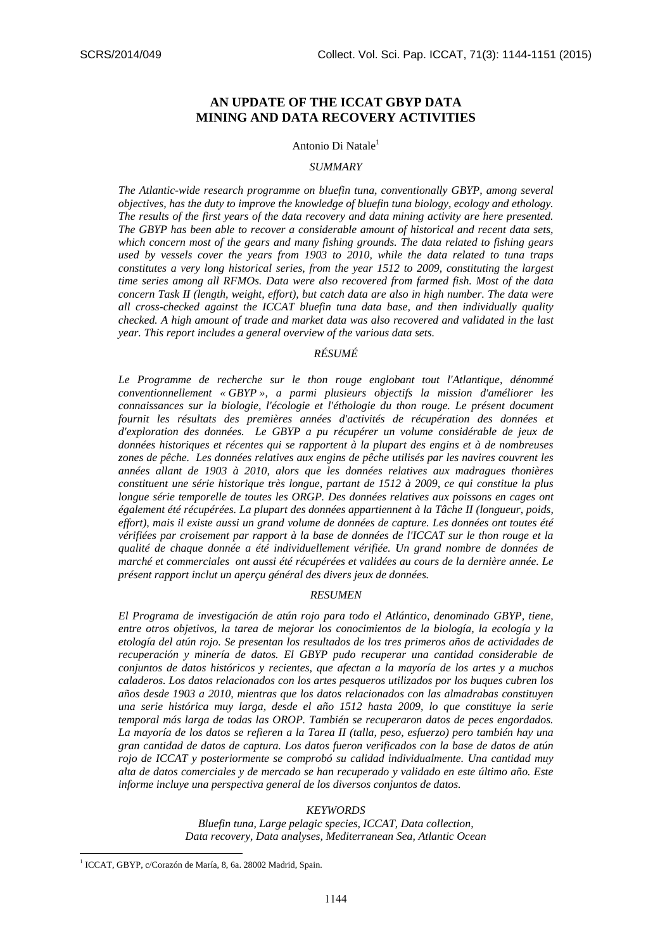# **AN UPDATE OF THE ICCAT GBYP DATA MINING AND DATA RECOVERY ACTIVITIES**

#### Antonio Di Natale<sup>1</sup>

#### *SUMMARY*

*The Atlantic-wide research programme on bluefin tuna, conventionally GBYP, among several objectives, has the duty to improve the knowledge of bluefin tuna biology, ecology and ethology. The results of the first years of the data recovery and data mining activity are here presented. The GBYP has been able to recover a considerable amount of historical and recent data sets, which concern most of the gears and many fishing grounds. The data related to fishing gears used by vessels cover the years from 1903 to 2010, while the data related to tuna traps constitutes a very long historical series, from the year 1512 to 2009, constituting the largest time series among all RFMOs. Data were also recovered from farmed fish. Most of the data concern Task II (length, weight, effort), but catch data are also in high number. The data were all cross-checked against the ICCAT bluefin tuna data base, and then individually quality checked. A high amount of trade and market data was also recovered and validated in the last year. This report includes a general overview of the various data sets.* 

# *RÉSUMÉ*

*Le Programme de recherche sur le thon rouge englobant tout l'Atlantique, dénommé conventionnellement « GBYP », a parmi plusieurs objectifs la mission d'améliorer les connaissances sur la biologie, l'écologie et l'éthologie du thon rouge. Le présent document fournit les résultats des premières années d'activités de récupération des données et d'exploration des données. Le GBYP a pu récupérer un volume considérable de jeux de données historiques et récentes qui se rapportent à la plupart des engins et à de nombreuses zones de pêche. Les données relatives aux engins de pêche utilisés par les navires couvrent les années allant de 1903 à 2010, alors que les données relatives aux madragues thonières constituent une série historique très longue, partant de 1512 à 2009, ce qui constitue la plus longue série temporelle de toutes les ORGP. Des données relatives aux poissons en cages ont également été récupérées. La plupart des données appartiennent à la Tâche II (longueur, poids, effort), mais il existe aussi un grand volume de données de capture. Les données ont toutes été vérifiées par croisement par rapport à la base de données de l'ICCAT sur le thon rouge et la qualité de chaque donnée a été individuellement vérifiée. Un grand nombre de données de marché et commerciales ont aussi été récupérées et validées au cours de la dernière année. Le présent rapport inclut un aperçu général des divers jeux de données.* 

#### *RESUMEN*

*El Programa de investigación de atún rojo para todo el Atlántico, denominado GBYP, tiene, entre otros objetivos, la tarea de mejorar los conocimientos de la biología, la ecología y la etología del atún rojo. Se presentan los resultados de los tres primeros años de actividades de recuperación y minería de datos. El GBYP pudo recuperar una cantidad considerable de conjuntos de datos históricos y recientes, que afectan a la mayoría de los artes y a muchos caladeros. Los datos relacionados con los artes pesqueros utilizados por los buques cubren los años desde 1903 a 2010, mientras que los datos relacionados con las almadrabas constituyen una serie histórica muy larga, desde el año 1512 hasta 2009, lo que constituye la serie temporal más larga de todas las OROP. También se recuperaron datos de peces engordados. La mayoría de los datos se refieren a la Tarea II (talla, peso, esfuerzo) pero también hay una gran cantidad de datos de captura. Los datos fueron verificados con la base de datos de atún rojo de ICCAT y posteriormente se comprobó su calidad individualmente. Una cantidad muy alta de datos comerciales y de mercado se han recuperado y validado en este último año. Este informe incluye una perspectiva general de los diversos conjuntos de datos.* 

#### *KEYWORDS*

*Bluefin tuna, Large pelagic species, ICCAT, Data collection, Data recovery, Data analyses, Mediterranean Sea, Atlantic Ocean* 

<sup>&</sup>lt;sup>1</sup> ICCAT, GBYP, c/Corazón de María, 8, 6a. 28002 Madrid, Spain.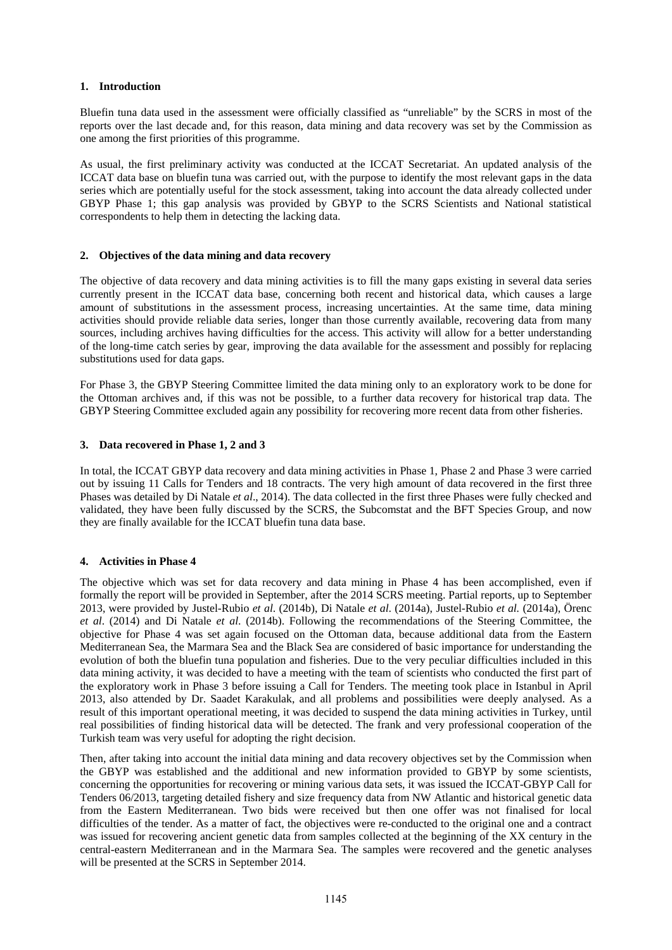## **1. Introduction**

Bluefin tuna data used in the assessment were officially classified as "unreliable" by the SCRS in most of the reports over the last decade and, for this reason, data mining and data recovery was set by the Commission as one among the first priorities of this programme.

As usual, the first preliminary activity was conducted at the ICCAT Secretariat. An updated analysis of the ICCAT data base on bluefin tuna was carried out, with the purpose to identify the most relevant gaps in the data series which are potentially useful for the stock assessment, taking into account the data already collected under GBYP Phase 1; this gap analysis was provided by GBYP to the SCRS Scientists and National statistical correspondents to help them in detecting the lacking data.

## **2. Objectives of the data mining and data recovery**

The objective of data recovery and data mining activities is to fill the many gaps existing in several data series currently present in the ICCAT data base, concerning both recent and historical data, which causes a large amount of substitutions in the assessment process, increasing uncertainties. At the same time, data mining activities should provide reliable data series, longer than those currently available, recovering data from many sources, including archives having difficulties for the access. This activity will allow for a better understanding of the long-time catch series by gear, improving the data available for the assessment and possibly for replacing substitutions used for data gaps.

For Phase 3, the GBYP Steering Committee limited the data mining only to an exploratory work to be done for the Ottoman archives and, if this was not be possible, to a further data recovery for historical trap data. The GBYP Steering Committee excluded again any possibility for recovering more recent data from other fisheries.

## **3. Data recovered in Phase 1, 2 and 3**

In total, the ICCAT GBYP data recovery and data mining activities in Phase 1, Phase 2 and Phase 3 were carried out by issuing 11 Calls for Tenders and 18 contracts. The very high amount of data recovered in the first three Phases was detailed by Di Natale *et al*., 2014). The data collected in the first three Phases were fully checked and validated, they have been fully discussed by the SCRS, the Subcomstat and the BFT Species Group, and now they are finally available for the ICCAT bluefin tuna data base.

# **4. Activities in Phase 4**

The objective which was set for data recovery and data mining in Phase 4 has been accomplished, even if formally the report will be provided in September, after the 2014 SCRS meeting. Partial reports, up to September 2013, were provided by Justel-Rubio *et al*. (2014b), Di Natale *et al*. (2014a), Justel-Rubio *et al.* (2014a), Örenc *et al*. (2014) and Di Natale *et al*. (2014b). Following the recommendations of the Steering Committee, the objective for Phase 4 was set again focused on the Ottoman data, because additional data from the Eastern Mediterranean Sea, the Marmara Sea and the Black Sea are considered of basic importance for understanding the evolution of both the bluefin tuna population and fisheries. Due to the very peculiar difficulties included in this data mining activity, it was decided to have a meeting with the team of scientists who conducted the first part of the exploratory work in Phase 3 before issuing a Call for Tenders. The meeting took place in Istanbul in April 2013, also attended by Dr. Saadet Karakulak, and all problems and possibilities were deeply analysed. As a result of this important operational meeting, it was decided to suspend the data mining activities in Turkey, until real possibilities of finding historical data will be detected. The frank and very professional cooperation of the Turkish team was very useful for adopting the right decision.

Then, after taking into account the initial data mining and data recovery objectives set by the Commission when the GBYP was established and the additional and new information provided to GBYP by some scientists, concerning the opportunities for recovering or mining various data sets, it was issued the ICCAT-GBYP Call for Tenders 06/2013, targeting detailed fishery and size frequency data from NW Atlantic and historical genetic data from the Eastern Mediterranean. Two bids were received but then one offer was not finalised for local difficulties of the tender. As a matter of fact, the objectives were re-conducted to the original one and a contract was issued for recovering ancient genetic data from samples collected at the beginning of the XX century in the central-eastern Mediterranean and in the Marmara Sea. The samples were recovered and the genetic analyses will be presented at the SCRS in September 2014.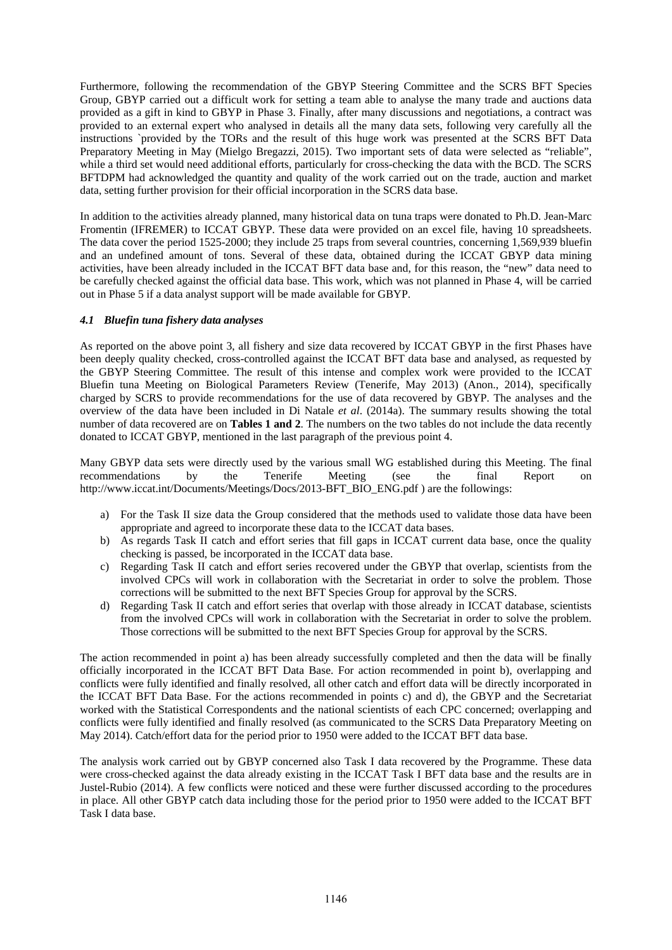Furthermore, following the recommendation of the GBYP Steering Committee and the SCRS BFT Species Group, GBYP carried out a difficult work for setting a team able to analyse the many trade and auctions data provided as a gift in kind to GBYP in Phase 3. Finally, after many discussions and negotiations, a contract was provided to an external expert who analysed in details all the many data sets, following very carefully all the instructions `provided by the TORs and the result of this huge work was presented at the SCRS BFT Data Preparatory Meeting in May (Mielgo Bregazzi, 2015). Two important sets of data were selected as "reliable", while a third set would need additional efforts, particularly for cross-checking the data with the BCD. The SCRS BFTDPM had acknowledged the quantity and quality of the work carried out on the trade, auction and market data, setting further provision for their official incorporation in the SCRS data base.

In addition to the activities already planned, many historical data on tuna traps were donated to Ph.D. Jean-Marc Fromentin (IFREMER) to ICCAT GBYP. These data were provided on an excel file, having 10 spreadsheets. The data cover the period 1525-2000; they include 25 traps from several countries, concerning 1,569,939 bluefin and an undefined amount of tons. Several of these data, obtained during the ICCAT GBYP data mining activities, have been already included in the ICCAT BFT data base and, for this reason, the "new" data need to be carefully checked against the official data base. This work, which was not planned in Phase 4, will be carried out in Phase 5 if a data analyst support will be made available for GBYP.

## *4.1 Bluefin tuna fishery data analyses*

As reported on the above point 3, all fishery and size data recovered by ICCAT GBYP in the first Phases have been deeply quality checked, cross-controlled against the ICCAT BFT data base and analysed, as requested by the GBYP Steering Committee. The result of this intense and complex work were provided to the ICCAT Bluefin tuna Meeting on Biological Parameters Review (Tenerife, May 2013) (Anon., 2014), specifically charged by SCRS to provide recommendations for the use of data recovered by GBYP. The analyses and the overview of the data have been included in Di Natale *et al*. (2014a). The summary results showing the total number of data recovered are on **Tables 1 and 2**. The numbers on the two tables do not include the data recently donated to ICCAT GBYP, mentioned in the last paragraph of the previous point 4.

Many GBYP data sets were directly used by the various small WG established during this Meeting. The final recommendations by the Tenerife Meeting (see the final Report on http://www.iccat.int/Documents/Meetings/Docs/2013-BFT\_BIO\_ENG.pdf ) are the followings:

- a) For the Task II size data the Group considered that the methods used to validate those data have been appropriate and agreed to incorporate these data to the ICCAT data bases.
- b) As regards Task II catch and effort series that fill gaps in ICCAT current data base, once the quality checking is passed, be incorporated in the ICCAT data base.
- c) Regarding Task II catch and effort series recovered under the GBYP that overlap, scientists from the involved CPCs will work in collaboration with the Secretariat in order to solve the problem. Those corrections will be submitted to the next BFT Species Group for approval by the SCRS.
- d) Regarding Task II catch and effort series that overlap with those already in ICCAT database, scientists from the involved CPCs will work in collaboration with the Secretariat in order to solve the problem. Those corrections will be submitted to the next BFT Species Group for approval by the SCRS.

The action recommended in point a) has been already successfully completed and then the data will be finally officially incorporated in the ICCAT BFT Data Base. For action recommended in point b), overlapping and conflicts were fully identified and finally resolved, all other catch and effort data will be directly incorporated in the ICCAT BFT Data Base. For the actions recommended in points c) and d), the GBYP and the Secretariat worked with the Statistical Correspondents and the national scientists of each CPC concerned; overlapping and conflicts were fully identified and finally resolved (as communicated to the SCRS Data Preparatory Meeting on May 2014). Catch/effort data for the period prior to 1950 were added to the ICCAT BFT data base.

The analysis work carried out by GBYP concerned also Task I data recovered by the Programme. These data were cross-checked against the data already existing in the ICCAT Task I BFT data base and the results are in Justel-Rubio (2014). A few conflicts were noticed and these were further discussed according to the procedures in place. All other GBYP catch data including those for the period prior to 1950 were added to the ICCAT BFT Task I data base.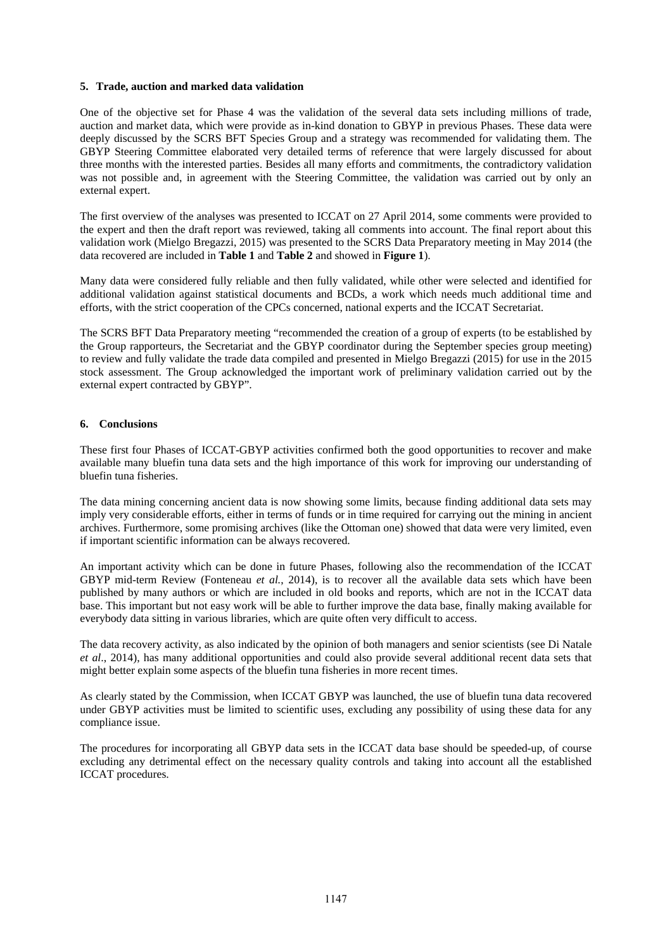## **5. Trade, auction and marked data validation**

One of the objective set for Phase 4 was the validation of the several data sets including millions of trade, auction and market data, which were provide as in-kind donation to GBYP in previous Phases. These data were deeply discussed by the SCRS BFT Species Group and a strategy was recommended for validating them. The GBYP Steering Committee elaborated very detailed terms of reference that were largely discussed for about three months with the interested parties. Besides all many efforts and commitments, the contradictory validation was not possible and, in agreement with the Steering Committee, the validation was carried out by only an external expert.

The first overview of the analyses was presented to ICCAT on 27 April 2014, some comments were provided to the expert and then the draft report was reviewed, taking all comments into account. The final report about this validation work (Mielgo Bregazzi, 2015) was presented to the SCRS Data Preparatory meeting in May 2014 (the data recovered are included in **Table 1** and **Table 2** and showed in **Figure 1**).

Many data were considered fully reliable and then fully validated, while other were selected and identified for additional validation against statistical documents and BCDs, a work which needs much additional time and efforts, with the strict cooperation of the CPCs concerned, national experts and the ICCAT Secretariat.

The SCRS BFT Data Preparatory meeting "recommended the creation of a group of experts (to be established by the Group rapporteurs, the Secretariat and the GBYP coordinator during the September species group meeting) to review and fully validate the trade data compiled and presented in Mielgo Bregazzi (2015) for use in the 2015 stock assessment. The Group acknowledged the important work of preliminary validation carried out by the external expert contracted by GBYP".

## **6. Conclusions**

These first four Phases of ICCAT-GBYP activities confirmed both the good opportunities to recover and make available many bluefin tuna data sets and the high importance of this work for improving our understanding of bluefin tuna fisheries.

The data mining concerning ancient data is now showing some limits, because finding additional data sets may imply very considerable efforts, either in terms of funds or in time required for carrying out the mining in ancient archives. Furthermore, some promising archives (like the Ottoman one) showed that data were very limited, even if important scientific information can be always recovered.

An important activity which can be done in future Phases, following also the recommendation of the ICCAT GBYP mid-term Review (Fonteneau *et al.*, 2014), is to recover all the available data sets which have been published by many authors or which are included in old books and reports, which are not in the ICCAT data base. This important but not easy work will be able to further improve the data base, finally making available for everybody data sitting in various libraries, which are quite often very difficult to access.

The data recovery activity, as also indicated by the opinion of both managers and senior scientists (see Di Natale *et al*., 2014), has many additional opportunities and could also provide several additional recent data sets that might better explain some aspects of the bluefin tuna fisheries in more recent times.

As clearly stated by the Commission, when ICCAT GBYP was launched, the use of bluefin tuna data recovered under GBYP activities must be limited to scientific uses, excluding any possibility of using these data for any compliance issue.

The procedures for incorporating all GBYP data sets in the ICCAT data base should be speeded-up, of course excluding any detrimental effect on the necessary quality controls and taking into account all the established ICCAT procedures.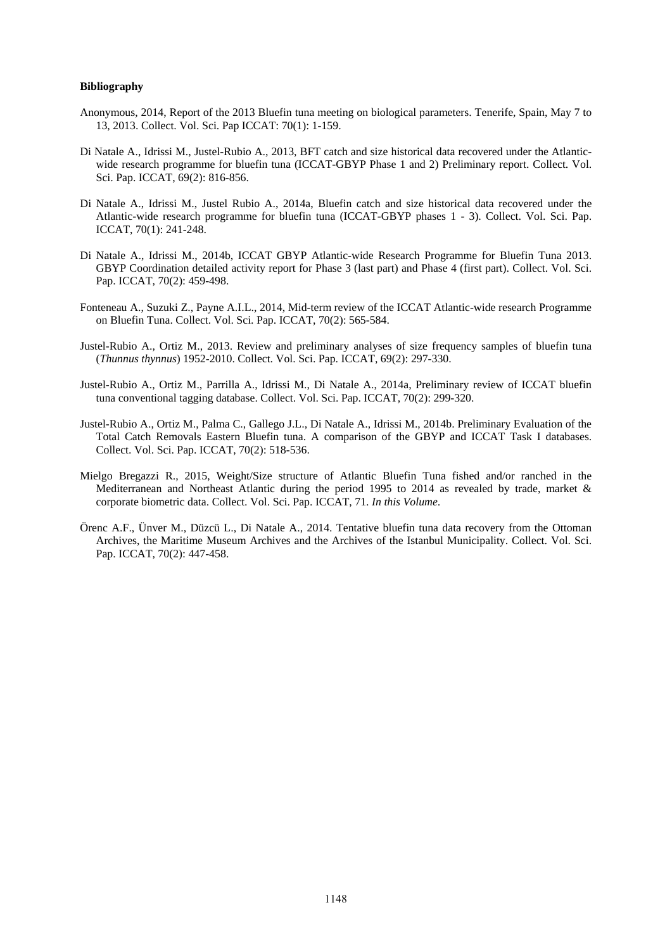## **Bibliography**

- Anonymous, 2014, Report of the 2013 Bluefin tuna meeting on biological parameters. Tenerife, Spain, May 7 to 13, 2013. Collect. Vol. Sci. Pap ICCAT: 70(1): 1-159.
- Di Natale A., Idrissi M., Justel-Rubio A., 2013, BFT catch and size historical data recovered under the Atlanticwide research programme for bluefin tuna (ICCAT-GBYP Phase 1 and 2) Preliminary report. Collect. Vol. Sci. Pap. ICCAT, 69(2): 816-856.
- Di Natale A., Idrissi M., Justel Rubio A., 2014a, Bluefin catch and size historical data recovered under the Atlantic-wide research programme for bluefin tuna (ICCAT-GBYP phases 1 - 3). Collect. Vol. Sci. Pap. ICCAT, 70(1): 241-248.
- Di Natale A., Idrissi M., 2014b, ICCAT GBYP Atlantic-wide Research Programme for Bluefin Tuna 2013. GBYP Coordination detailed activity report for Phase 3 (last part) and Phase 4 (first part). Collect. Vol. Sci. Pap. ICCAT, 70(2): 459-498.
- Fonteneau A., Suzuki Z., Payne A.I.L., 2014, Mid-term review of the ICCAT Atlantic-wide research Programme on Bluefin Tuna. Collect. Vol. Sci. Pap. ICCAT, 70(2): 565-584.
- Justel-Rubio A., Ortiz M., 2013. Review and preliminary analyses of size frequency samples of bluefin tuna (*Thunnus thynnus*) 1952-2010. Collect. Vol. Sci. Pap. ICCAT, 69(2): 297-330.
- Justel-Rubio A., Ortiz M., Parrilla A., Idrissi M., Di Natale A., 2014a, Preliminary review of ICCAT bluefin tuna conventional tagging database. Collect. Vol. Sci. Pap. ICCAT, 70(2): 299-320.
- Justel-Rubio A., Ortiz M., Palma C., Gallego J.L., Di Natale A., Idrissi M., 2014b. Preliminary Evaluation of the Total Catch Removals Eastern Bluefin tuna. A comparison of the GBYP and ICCAT Task I databases. Collect. Vol. Sci. Pap. ICCAT, 70(2): 518-536.
- Mielgo Bregazzi R., 2015, Weight/Size structure of Atlantic Bluefin Tuna fished and/or ranched in the Mediterranean and Northeast Atlantic during the period 1995 to 2014 as revealed by trade, market & corporate biometric data. Collect. Vol. Sci. Pap. ICCAT, 71. *In this Volume*.
- Örenc A.F., Ünver M., Düzcü L., Di Natale A., 2014. Tentative bluefin tuna data recovery from the Ottoman Archives, the Maritime Museum Archives and the Archives of the Istanbul Municipality. Collect. Vol. Sci. Pap. ICCAT, 70(2): 447-458.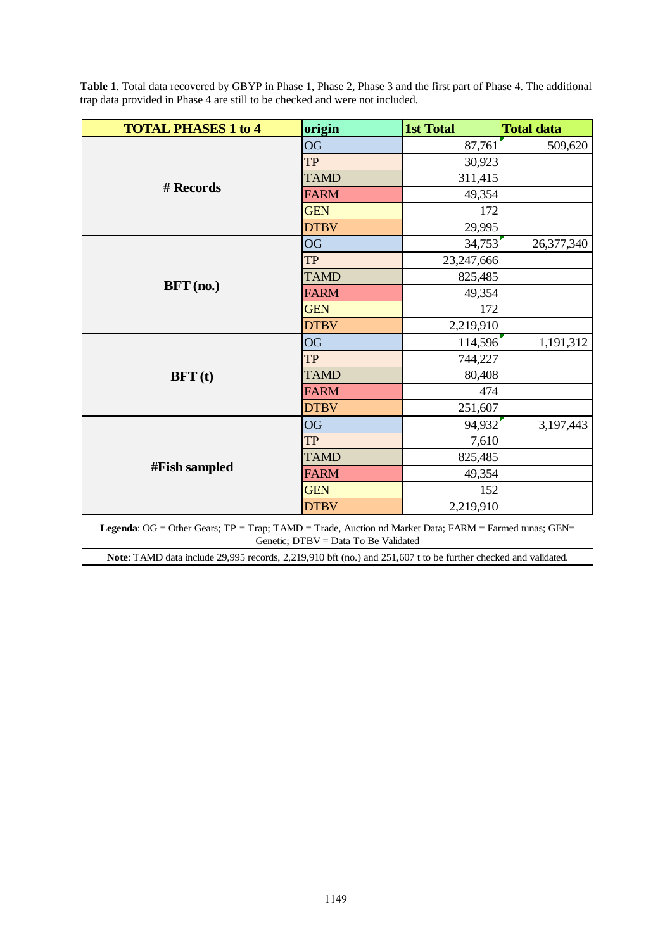| <b>TOTAL PHASES 1 to 4</b>                                                                                                                    | origin      | <b>1st Total</b> | <b>Total data</b> |  |  |  |  |  |
|-----------------------------------------------------------------------------------------------------------------------------------------------|-------------|------------------|-------------------|--|--|--|--|--|
|                                                                                                                                               | <b>OG</b>   | 87,761           | 509,620           |  |  |  |  |  |
|                                                                                                                                               | <b>TP</b>   | 30,923           |                   |  |  |  |  |  |
|                                                                                                                                               | <b>TAMD</b> | 311,415          |                   |  |  |  |  |  |
| # Records                                                                                                                                     | <b>FARM</b> | 49,354           |                   |  |  |  |  |  |
|                                                                                                                                               | <b>GEN</b>  | 172              |                   |  |  |  |  |  |
|                                                                                                                                               | <b>DTBV</b> | 29,995           |                   |  |  |  |  |  |
|                                                                                                                                               | <b>OG</b>   | 34,753           | 26,377,340        |  |  |  |  |  |
| $BFT$ (no.)                                                                                                                                   | <b>TP</b>   | 23,247,666       |                   |  |  |  |  |  |
|                                                                                                                                               | <b>TAMD</b> | 825,485          |                   |  |  |  |  |  |
|                                                                                                                                               | <b>FARM</b> | 49,354           |                   |  |  |  |  |  |
|                                                                                                                                               | <b>GEN</b>  | 172              |                   |  |  |  |  |  |
|                                                                                                                                               | <b>DTBV</b> | 2,219,910        |                   |  |  |  |  |  |
|                                                                                                                                               | <b>OG</b>   | 114,596          | 1,191,312         |  |  |  |  |  |
| BFT(t)                                                                                                                                        | TP          | 744,227          |                   |  |  |  |  |  |
|                                                                                                                                               | <b>TAMD</b> | 80,408           |                   |  |  |  |  |  |
|                                                                                                                                               | <b>FARM</b> | 474              |                   |  |  |  |  |  |
|                                                                                                                                               | <b>DTBV</b> | 251,607          |                   |  |  |  |  |  |
|                                                                                                                                               | <b>OG</b>   | 94,932           | 3,197,443         |  |  |  |  |  |
| #Fish sampled                                                                                                                                 | <b>TP</b>   | 7,610            |                   |  |  |  |  |  |
|                                                                                                                                               | <b>TAMD</b> | 825,485          |                   |  |  |  |  |  |
|                                                                                                                                               | <b>FARM</b> | 49,354           |                   |  |  |  |  |  |
|                                                                                                                                               | <b>GEN</b>  | 152              |                   |  |  |  |  |  |
|                                                                                                                                               | <b>DTBV</b> | 2,219,910        |                   |  |  |  |  |  |
| Legenda: OG = Other Gears; TP = Trap; TAMD = Trade, Auction nd Market Data; FARM = Farmed tunas; GEN=<br>Genetic; DTBV = Data To Be Validated |             |                  |                   |  |  |  |  |  |
| Note: TAMD data include 29,995 records, 2,219,910 bft (no.) and 251,607 t to be further checked and validated.                                |             |                  |                   |  |  |  |  |  |

**Table 1**. Total data recovered by GBYP in Phase 1, Phase 2, Phase 3 and the first part of Phase 4. The additional trap data provided in Phase 4 are still to be checked and were not included.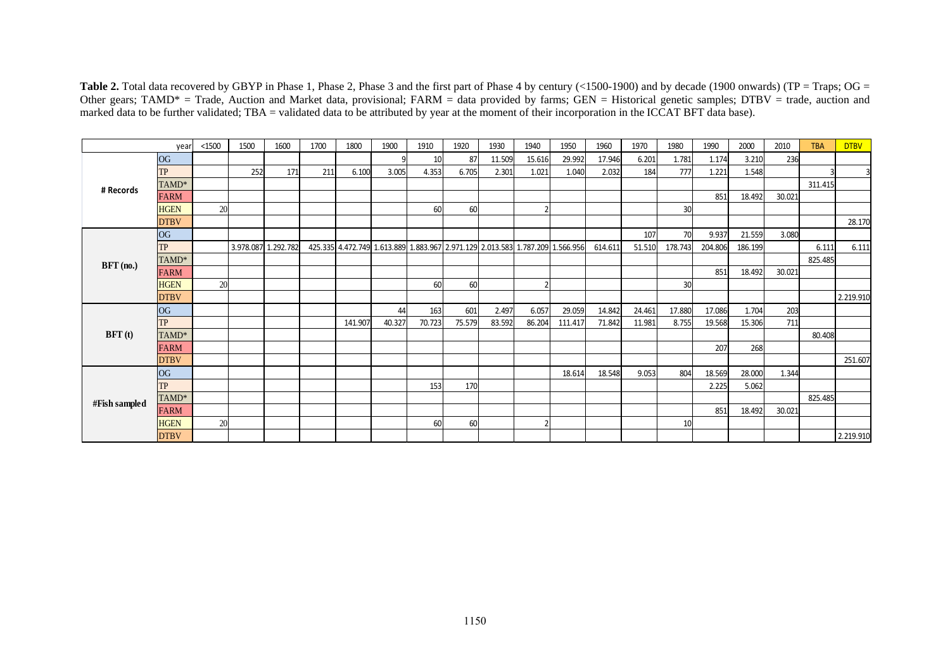Table 2. Total data recovered by GBYP in Phase 1, Phase 2, Phase 3 and the first part of Phase 4 by century (<1500-1900) and by decade (1900 onwards) (TP = Traps; OG = Other gears; TAMD\* = Trade, Auction and Market data, provisional; FARM = data provided by farms; GEN = Historical genetic samples; DTBV = trade, auction and marked data to be further validated; TBA = validated data to be attributed by year at the moment of their incorporation in the ICCAT BFT data base).

|               | year        | < 1500 | 1500 | 1600                | 1700 | 1800    | 1900   | 1910   | 1920   | 1930                                                                          | 1940   | 1950    | 1960    | 1970   | 1980    | 1990    | 2000    | 2010   | <b>TBA</b> | <b>DTBV</b> |
|---------------|-------------|--------|------|---------------------|------|---------|--------|--------|--------|-------------------------------------------------------------------------------|--------|---------|---------|--------|---------|---------|---------|--------|------------|-------------|
| # Records     | <b>OG</b>   |        |      |                     |      |         |        | 10     | 87     | 11.509                                                                        | 15.616 | 29.992  | 17.946  | 6.201  | 1.781   | 1.174   | 3.210   | 236    |            |             |
|               | <b>TP</b>   |        | 252  | 171                 | 211  | 6.100   | 3.005  | 4.353  | 6.705  | 2.301                                                                         | 1.021  | 1.040   | 2.032   | 184    | 777     | 1.221   | 1.548   |        |            | 3           |
|               | TAMD*       |        |      |                     |      |         |        |        |        |                                                                               |        |         |         |        |         |         |         |        | 311.415    |             |
|               | <b>FARM</b> |        |      |                     |      |         |        |        |        |                                                                               |        |         |         |        |         | 851     | 18.492  | 30.021 |            |             |
|               | <b>HGEN</b> | 20     |      |                     |      |         |        | 60     | 60     |                                                                               |        |         |         |        | 30      |         |         |        |            |             |
|               | <b>DTBV</b> |        |      |                     |      |         |        |        |        |                                                                               |        |         |         |        |         |         |         |        |            | 28.170      |
| $BFT$ (no.)   | <b>OG</b>   |        |      |                     |      |         |        |        |        |                                                                               |        |         |         | 107    | 70      | 9.937   | 21.559  | 3.080  |            |             |
|               | <b>TP</b>   |        |      | 3.978.087 1.292.782 |      |         |        |        |        | 425.335 4.472.749 1.613.889 1.883.967 2.971.129 2.013.583 1.787.209 1.566.956 |        |         | 614.611 | 51.510 | 178.743 | 204.806 | 186.199 |        | 6.111      | 6.111       |
|               | TAMD*       |        |      |                     |      |         |        |        |        |                                                                               |        |         |         |        |         |         |         |        | 825.485    |             |
|               | <b>FARM</b> |        |      |                     |      |         |        |        |        |                                                                               |        |         |         |        |         | 851     | 18.492  | 30.021 |            |             |
|               | <b>HGEN</b> | 20     |      |                     |      |         |        | 60     | 60     |                                                                               |        |         |         |        | 30      |         |         |        |            |             |
|               | <b>DTBV</b> |        |      |                     |      |         |        |        |        |                                                                               |        |         |         |        |         |         |         |        |            | 2.219.910   |
| BFT(t)        | <b>OG</b>   |        |      |                     |      |         | 44     | 163    | 601    | 2.497                                                                         | 6.057  | 29.059  | 14.842  | 24.461 | 17.880  | 17.086  | 1.704   | 203    |            |             |
|               | <b>TP</b>   |        |      |                     |      | 141.907 | 40.327 | 70.723 | 75.579 | 83.592                                                                        | 86.204 | 111.417 | 71.842  | 11.981 | 8.755   | 19.568  | 15.306  | 711    |            |             |
|               | TAMD*       |        |      |                     |      |         |        |        |        |                                                                               |        |         |         |        |         |         |         |        | 80.408     |             |
|               | <b>FARM</b> |        |      |                     |      |         |        |        |        |                                                                               |        |         |         |        |         | 207     | 268     |        |            |             |
|               | <b>DTBV</b> |        |      |                     |      |         |        |        |        |                                                                               |        |         |         |        |         |         |         |        |            | 251.607     |
| #Fish sampled | <b>OG</b>   |        |      |                     |      |         |        |        |        |                                                                               |        | 18.614  | 18.548  | 9.053  | 804     | 18.569  | 28.000  | 1.344  |            |             |
|               | TP          |        |      |                     |      |         |        | 153    | 170    |                                                                               |        |         |         |        |         | 2.225   | 5.062   |        |            |             |
|               | TAMD*       |        |      |                     |      |         |        |        |        |                                                                               |        |         |         |        |         |         |         |        | 825.485    |             |
|               | <b>FARM</b> |        |      |                     |      |         |        |        |        |                                                                               |        |         |         |        |         | 851     | 18.492  | 30.021 |            |             |
|               | <b>HGEN</b> | 20     |      |                     |      |         |        | 60     | 60     |                                                                               | ີ      |         |         |        | 10      |         |         |        |            |             |
|               | <b>DTBV</b> |        |      |                     |      |         |        |        |        |                                                                               |        |         |         |        |         |         |         |        |            | 2.219.910   |